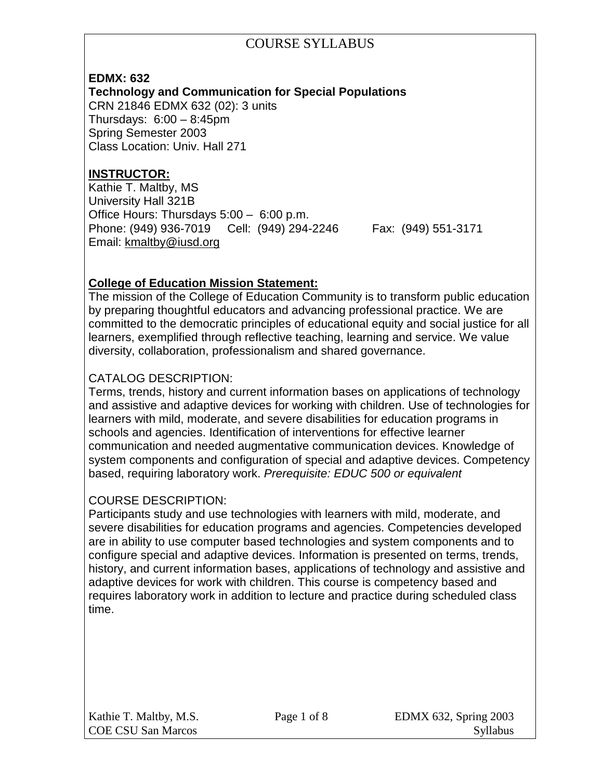#### **EDMX: 632**

**Technology and Communication for Special Populations**

CRN 21846 EDMX 632 (02): 3 units Thursdays: 6:00 – 8:45pm Spring Semester 2003 Class Location: Univ. Hall 271

## **INSTRUCTOR:**

Kathie T. Maltby, MS University Hall 321B Office Hours: Thursdays 5:00 – 6:00 p.m. Phone: (949) 936-7019 Cell: (949) 294-2246 Fax: (949) 551-3171 Email: [kmaltby@iusd.org](mailto:kmaltby@iusd.org)

### **College of Education Mission Statement:**

The mission of the College of Education Community is to transform public education by preparing thoughtful educators and advancing professional practice. We are committed to the democratic principles of educational equity and social justice for all learners, exemplified through reflective teaching, learning and service. We value diversity, collaboration, professionalism and shared governance.

#### CATALOG DESCRIPTION:

Terms, trends, history and current information bases on applications of technology and assistive and adaptive devices for working with children. Use of technologies for learners with mild, moderate, and severe disabilities for education programs in schools and agencies. Identification of interventions for effective learner communication and needed augmentative communication devices. Knowledge of system components and configuration of special and adaptive devices. Competency based, requiring laboratory work. *Prerequisite: EDUC 500 or equivalent*

#### COURSE DESCRIPTION:

Participants study and use technologies with learners with mild, moderate, and severe disabilities for education programs and agencies. Competencies developed are in ability to use computer based technologies and system components and to configure special and adaptive devices. Information is presented on terms, trends, history, and current information bases, applications of technology and assistive and adaptive devices for work with children. This course is competency based and requires laboratory work in addition to lecture and practice during scheduled class time.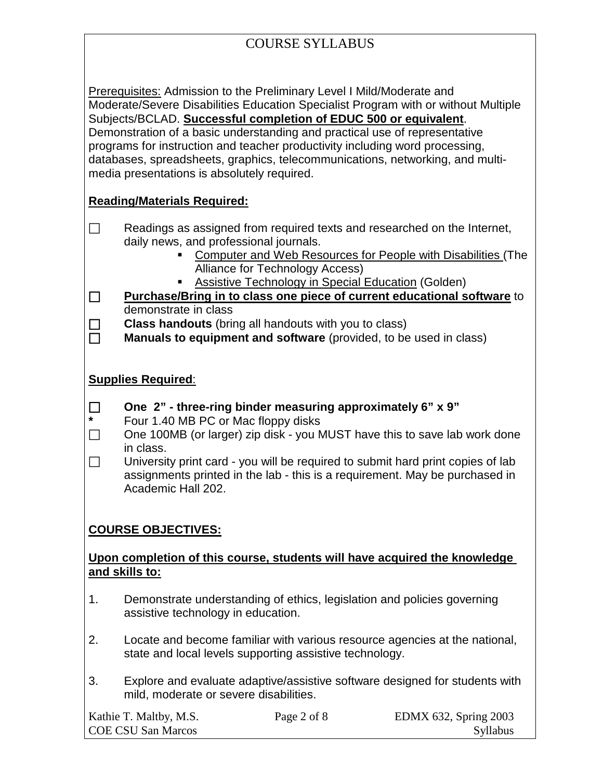| <b>COURSE SYLLABUS</b>                                                                                                                                                                                                                                                                                                                                                                                                                                                                                                        |                                                                                                                                                                                                                                                                                                                                                                                     |  |  |  |  |  |
|-------------------------------------------------------------------------------------------------------------------------------------------------------------------------------------------------------------------------------------------------------------------------------------------------------------------------------------------------------------------------------------------------------------------------------------------------------------------------------------------------------------------------------|-------------------------------------------------------------------------------------------------------------------------------------------------------------------------------------------------------------------------------------------------------------------------------------------------------------------------------------------------------------------------------------|--|--|--|--|--|
|                                                                                                                                                                                                                                                                                                                                                                                                                                                                                                                               |                                                                                                                                                                                                                                                                                                                                                                                     |  |  |  |  |  |
| Prerequisites: Admission to the Preliminary Level I Mild/Moderate and<br>Moderate/Severe Disabilities Education Specialist Program with or without Multiple<br>Subjects/BCLAD. Successful completion of EDUC 500 or equivalent.<br>Demonstration of a basic understanding and practical use of representative<br>programs for instruction and teacher productivity including word processing,<br>databases, spreadsheets, graphics, telecommunications, networking, and multi-<br>media presentations is absolutely required. |                                                                                                                                                                                                                                                                                                                                                                                     |  |  |  |  |  |
|                                                                                                                                                                                                                                                                                                                                                                                                                                                                                                                               | <b>Reading/Materials Required:</b>                                                                                                                                                                                                                                                                                                                                                  |  |  |  |  |  |
| $\Box$                                                                                                                                                                                                                                                                                                                                                                                                                                                                                                                        | Readings as assigned from required texts and researched on the Internet,<br>daily news, and professional journals.<br><b>Computer and Web Resources for People with Disabilities (The</b><br>Alliance for Technology Access)<br><b>Assistive Technology in Special Education (Golden)</b>                                                                                           |  |  |  |  |  |
| □                                                                                                                                                                                                                                                                                                                                                                                                                                                                                                                             | Purchase/Bring in to class one piece of current educational software to<br>demonstrate in class                                                                                                                                                                                                                                                                                     |  |  |  |  |  |
| $\Box$                                                                                                                                                                                                                                                                                                                                                                                                                                                                                                                        | <b>Class handouts</b> (bring all handouts with you to class)<br>Manuals to equipment and software (provided, to be used in class)                                                                                                                                                                                                                                                   |  |  |  |  |  |
|                                                                                                                                                                                                                                                                                                                                                                                                                                                                                                                               | <b>Supplies Required:</b>                                                                                                                                                                                                                                                                                                                                                           |  |  |  |  |  |
| $\Box$<br>$\Box$                                                                                                                                                                                                                                                                                                                                                                                                                                                                                                              | One 2" - three-ring binder measuring approximately 6" x 9"<br>Four 1.40 MB PC or Mac floppy disks<br>One 100MB (or larger) zip disk - you MUST have this to save lab work done<br>in class.<br>University print card - you will be required to submit hard print copies of lab<br>assignments printed in the lab - this is a requirement. May be purchased in<br>Academic Hall 202. |  |  |  |  |  |
|                                                                                                                                                                                                                                                                                                                                                                                                                                                                                                                               | <b>COURSE OBJECTIVES:</b>                                                                                                                                                                                                                                                                                                                                                           |  |  |  |  |  |
| Upon completion of this course, students will have acquired the knowledge<br>and skills to:                                                                                                                                                                                                                                                                                                                                                                                                                                   |                                                                                                                                                                                                                                                                                                                                                                                     |  |  |  |  |  |
| 1.                                                                                                                                                                                                                                                                                                                                                                                                                                                                                                                            | Demonstrate understanding of ethics, legislation and policies governing<br>assistive technology in education.                                                                                                                                                                                                                                                                       |  |  |  |  |  |
| 2.                                                                                                                                                                                                                                                                                                                                                                                                                                                                                                                            | Locate and become familiar with various resource agencies at the national,<br>state and local levels supporting assistive technology.                                                                                                                                                                                                                                               |  |  |  |  |  |
| 3.                                                                                                                                                                                                                                                                                                                                                                                                                                                                                                                            | Explore and evaluate adaptive/assistive software designed for students with<br>mild, moderate or severe disabilities.                                                                                                                                                                                                                                                               |  |  |  |  |  |
|                                                                                                                                                                                                                                                                                                                                                                                                                                                                                                                               | Page 2 of 8<br>Kathie T. Maltby, M.S.<br>EDMX 632, Spring 2003<br><b>COE CSU San Marcos</b><br>Syllabus                                                                                                                                                                                                                                                                             |  |  |  |  |  |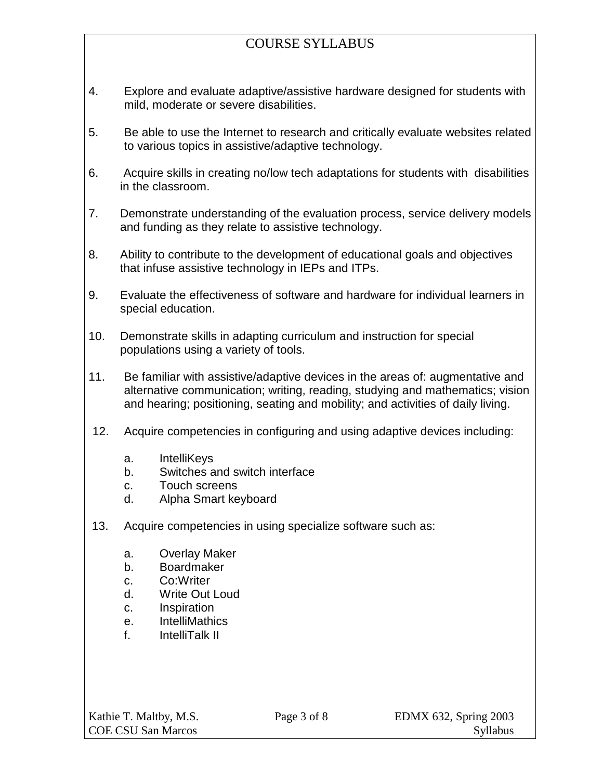- 4. Explore and evaluate adaptive/assistive hardware designed for students with mild, moderate or severe disabilities.
- 5. Be able to use the Internet to research and critically evaluate websites related to various topics in assistive/adaptive technology.
- 6. Acquire skills in creating no/low tech adaptations for students with disabilities in the classroom.
- 7. Demonstrate understanding of the evaluation process, service delivery models and funding as they relate to assistive technology.
- 8. Ability to contribute to the development of educational goals and objectives that infuse assistive technology in IEPs and ITPs.
- 9. Evaluate the effectiveness of software and hardware for individual learners in special education.
- 10. Demonstrate skills in adapting curriculum and instruction for special populations using a variety of tools.
- 11. Be familiar with assistive/adaptive devices in the areas of: augmentative and alternative communication; writing, reading, studying and mathematics; vision and hearing; positioning, seating and mobility; and activities of daily living.
- 12. Acquire competencies in configuring and using adaptive devices including:
	- a. IntelliKeys
	- b. Switches and switch interface
	- c. Touch screens
	- d. Alpha Smart keyboard
- 13. Acquire competencies in using specialize software such as:
	- a. Overlay Maker
	- b. Boardmaker
	- c. Co:Writer
	- d. Write Out Loud
	- c. Inspiration
	- e. IntelliMathics
	- f. IntelliTalk II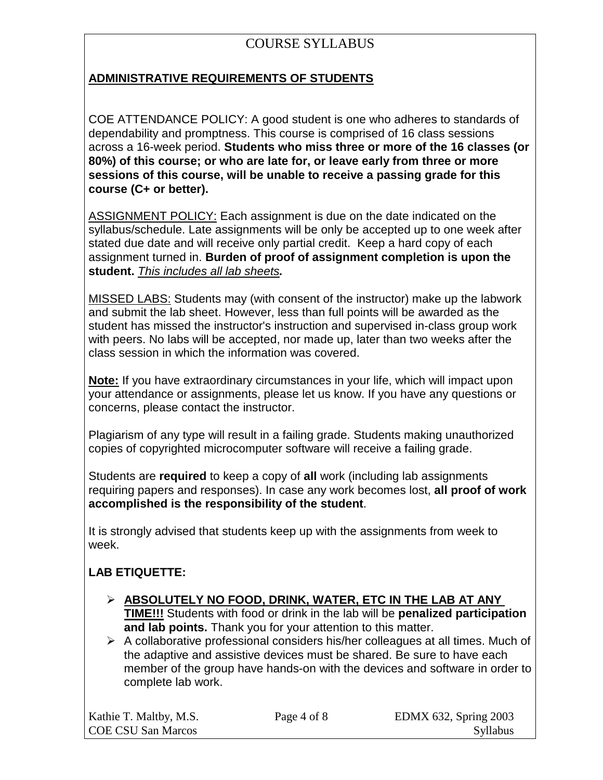## **ADMINISTRATIVE REQUIREMENTS OF STUDENTS**

COE ATTENDANCE POLICY: A good student is one who adheres to standards of dependability and promptness. This course is comprised of 16 class sessions across a 16-week period. **Students who miss three or more of the 16 classes (or 80%) of this course; or who are late for, or leave early from three or more sessions of this course, will be unable to receive a passing grade for this course (C+ or better).** 

ASSIGNMENT POLICY: Each assignment is due on the date indicated on the syllabus/schedule. Late assignments will be only be accepted up to one week after stated due date and will receive only partial credit. Keep a hard copy of each assignment turned in. **Burden of proof of assignment completion is upon the student.** *This includes all lab sheets.*

MISSED LABS: Students may (with consent of the instructor) make up the labwork and submit the lab sheet. However, less than full points will be awarded as the student has missed the instructor's instruction and supervised in-class group work with peers. No labs will be accepted, nor made up, later than two weeks after the class session in which the information was covered.

**Note:** If you have extraordinary circumstances in your life, which will impact upon your attendance or assignments, please let us know. If you have any questions or concerns, please contact the instructor.

Plagiarism of any type will result in a failing grade. Students making unauthorized copies of copyrighted microcomputer software will receive a failing grade.

Students are **required** to keep a copy of **all** work (including lab assignments requiring papers and responses). In case any work becomes lost, **all proof of work accomplished is the responsibility of the student**.

It is strongly advised that students keep up with the assignments from week to week.

## **LAB ETIQUETTE:**

- **ABSOLUTELY NO FOOD, DRINK, WATER, ETC IN THE LAB AT ANY TIME!!!** Students with food or drink in the lab will be **penalized participation and lab points.** Thank you for your attention to this matter.
- $\triangleright$  A collaborative professional considers his/her colleagues at all times. Much of the adaptive and assistive devices must be shared. Be sure to have each member of the group have hands-on with the devices and software in order to complete lab work.

| Kathie T. Maltby, M.S.    |
|---------------------------|
| <b>COE CSU San Marcos</b> |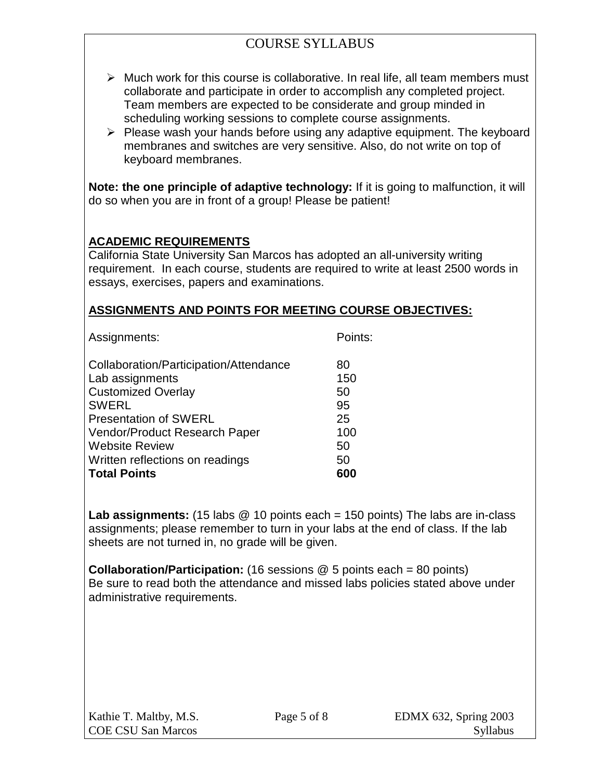- $\triangleright$  Much work for this course is collaborative. In real life, all team members must collaborate and participate in order to accomplish any completed project. Team members are expected to be considerate and group minded in scheduling working sessions to complete course assignments.
- $\triangleright$  Please wash your hands before using any adaptive equipment. The keyboard membranes and switches are very sensitive. Also, do not write on top of keyboard membranes.

**Note: the one principle of adaptive technology:** If it is going to malfunction, it will do so when you are in front of a group! Please be patient!

#### **ACADEMIC REQUIREMENTS**

California State University San Marcos has adopted an all-university writing requirement. In each course, students are required to write at least 2500 words in essays, exercises, papers and examinations.

#### **ASSIGNMENTS AND POINTS FOR MEETING COURSE OBJECTIVES:**

| Assignments:                                              | Points:   |
|-----------------------------------------------------------|-----------|
| Collaboration/Participation/Attendance<br>Lab assignments | 80<br>150 |
| <b>Customized Overlay</b>                                 | 50        |
| <b>SWERL</b><br><b>Presentation of SWERL</b>              | 95<br>25  |
| Vendor/Product Research Paper                             | 100       |
| <b>Website Review</b><br>Written reflections on readings  | 50<br>50  |
| <b>Total Points</b>                                       |           |

Lab assignments: (15 labs @ 10 points each = 150 points) The labs are in-class assignments; please remember to turn in your labs at the end of class. If the lab sheets are not turned in, no grade will be given.

**Collaboration/Participation:** (16 sessions @ 5 points each = 80 points) Be sure to read both the attendance and missed labs policies stated above under administrative requirements.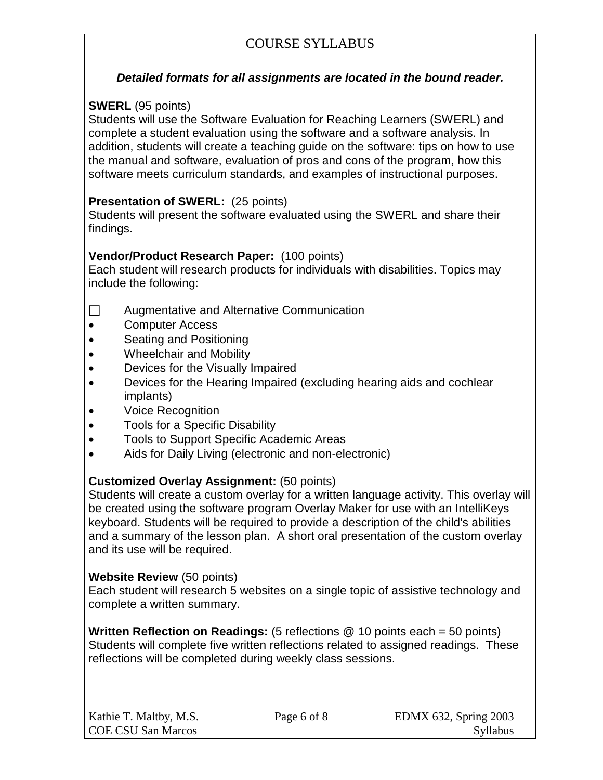#### *Detailed formats for all assignments are located in the bound reader.*

### **SWERL** (95 points)

Students will use the Software Evaluation for Reaching Learners (SWERL) and complete a student evaluation using the software and a software analysis. In addition, students will create a teaching guide on the software: tips on how to use the manual and software, evaluation of pros and cons of the program, how this software meets curriculum standards, and examples of instructional purposes.

### **Presentation of SWERL:** (25 points)

Students will present the software evaluated using the SWERL and share their findings.

### **Vendor/Product Research Paper:** (100 points)

Each student will research products for individuals with disabilities. Topics may include the following:

- $\Box$  Augmentative and Alternative Communication
- Computer Access
- Seating and Positioning
- Wheelchair and Mobility
- Devices for the Visually Impaired
- Devices for the Hearing Impaired (excluding hearing aids and cochlear implants)
- Voice Recognition
- Tools for a Specific Disability
- Tools to Support Specific Academic Areas
- Aids for Daily Living (electronic and non-electronic)

## **Customized Overlay Assignment:** (50 points)

Students will create a custom overlay for a written language activity. This overlay will be created using the software program Overlay Maker for use with an IntelliKeys keyboard. Students will be required to provide a description of the child's abilities and a summary of the lesson plan. A short oral presentation of the custom overlay and its use will be required.

#### **Website Review** (50 points)

Each student will research 5 websites on a single topic of assistive technology and complete a written summary.

**Written Reflection on Readings:** (5 reflections @ 10 points each = 50 points) Students will complete five written reflections related to assigned readings. These reflections will be completed during weekly class sessions.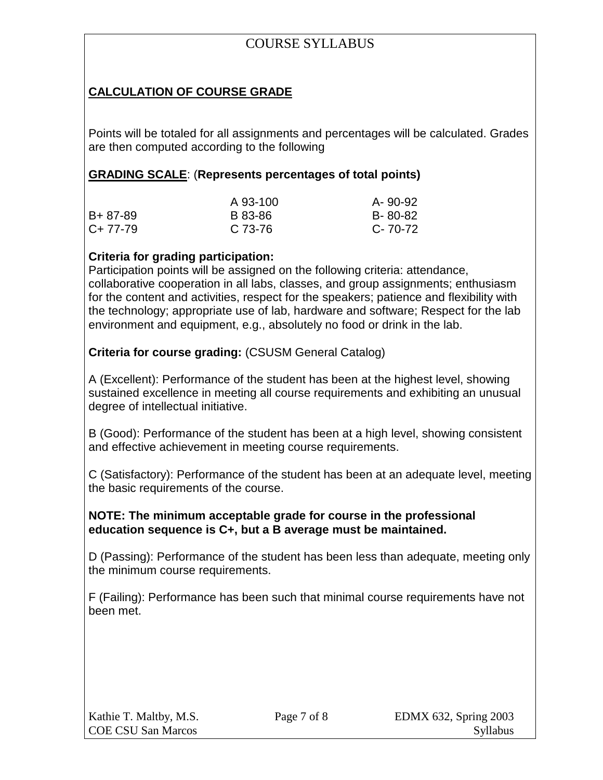## **CALCULATION OF COURSE GRADE**

Points will be totaled for all assignments and percentages will be calculated. Grades are then computed according to the following

### **GRADING SCALE**: (**Represents percentages of total points)**

|           | A 93-100 | A-90-92 |
|-----------|----------|---------|
| B+ 87-89  | B 83-86  | B-80-82 |
| $C+77-79$ | C 73-76  | C-70-72 |

#### **Criteria for grading participation:**

Participation points will be assigned on the following criteria: attendance, collaborative cooperation in all labs, classes, and group assignments; enthusiasm for the content and activities, respect for the speakers; patience and flexibility with the technology; appropriate use of lab, hardware and software; Respect for the lab environment and equipment, e.g., absolutely no food or drink in the lab.

**Criteria for course grading:** (CSUSM General Catalog)

A (Excellent): Performance of the student has been at the highest level, showing sustained excellence in meeting all course requirements and exhibiting an unusual degree of intellectual initiative.

B (Good): Performance of the student has been at a high level, showing consistent and effective achievement in meeting course requirements.

C (Satisfactory): Performance of the student has been at an adequate level, meeting the basic requirements of the course.

#### **NOTE: The minimum acceptable grade for course in the professional education sequence is C+, but a B average must be maintained.**

D (Passing): Performance of the student has been less than adequate, meeting only the minimum course requirements.

F (Failing): Performance has been such that minimal course requirements have not been met.